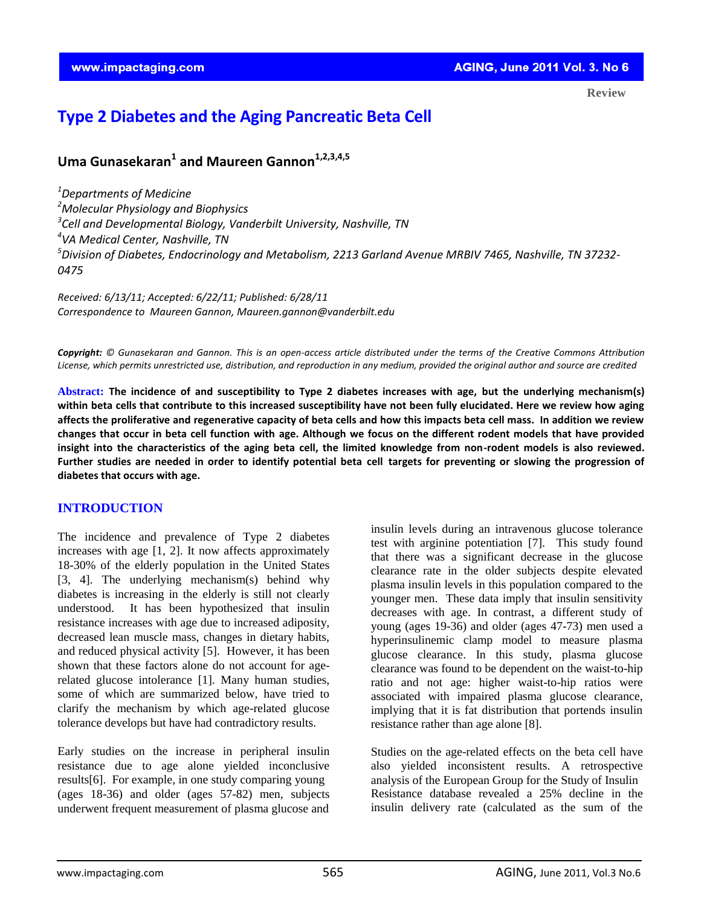**Review**

# **Type 2 Diabetes and the Aging Pancreatic Beta Cell**

## **Uma Gunasekaran<sup>1</sup> and Maureen Gannon1,2,3,4,5**

*Departments of Medicine Molecular Physiology and Biophysics Cell and Developmental Biology, Vanderbilt University, Nashville, TN VA Medical Center, Nashville, TN Division of Diabetes, Endocrinology and Metabolism, 2213 Garland Avenue MRBIV 7465, Nashville, TN 37232- 0475*

*Received: 6/13/11; Accepted: 6/22/11; Published: 6/28/11 Correspondence to Maureen Gannon, [Maureen.gannon@vanderbilt.edu](mailto:Maureen.gannon@vanderbilt.edu)*

 *License, which permits unrestricted use, distribution, and reproduction in any medium, provided the original author and source are credited Copyright: © Gunasekaran and Gannon. This is an open-access article distributed under the terms of the Creative Commons Attribution* 

**Abstract: The incidence of and susceptibility to Type 2 diabetes increases with age, but the underlying mechanism(s) within beta cells that contribute to this increased susceptibility have not been fully elucidated. Here we review how aging affects the proliferative and regenerative capacity of beta cells and how this impacts beta cell mass. In addition we review changes that occur in beta cell function with age. Although we focus on the different rodent models that have provided insight into the characteristics of the aging beta cell, the limited knowledge from non-rodent models is also reviewed. Further studies are needed in order to identify potential beta cell targets for preventing or slowing the progression of diabetes that occurs with age.**

## **INTRODUCTION**

The incidence and prevalence of Type 2 diabetes increases with age [1, 2]. It now affects approximately 18-30% of the elderly population in the United States [3, 4]. The underlying mechanism(s) behind why diabetes is increasing in the elderly is still not clearly understood. It has been hypothesized that insulin resistance increases with age due to increased adiposity, decreased lean muscle mass, changes in dietary habits, and reduced physical activity [5]. However, it has been shown that these factors alone do not account for agerelated glucose intolerance [1]. Many human studies, some of which are summarized below, have tried to clarify the mechanism by which age-related glucose tolerance develops but have had contradictory results.

Early studies on the increase in peripheral insulin resistance due to age alone yielded inconclusive results[6]. For example, in one study comparing young (ages 18-36) and older (ages 57-82) men, subjects underwent frequent measurement of plasma glucose and

insulin levels during an intravenous glucose tolerance test with arginine potentiation [7]. This study found that there was a significant decrease in the glucose clearance rate in the older subjects despite elevated plasma insulin levels in this population compared to the younger men. These data imply that insulin sensitivity decreases with age. In contrast, a different study of young (ages 19-36) and older (ages 47-73) men used a hyperinsulinemic clamp model to measure plasma glucose clearance. In this study, plasma glucose clearance was found to be dependent on the waist-to-hip ratio and not age: higher waist-to-hip ratios were associated with impaired plasma glucose clearance, implying that it is fat distribution that portends insulin resistance rather than age alone [8].

Studies on the age-related effects on the beta cell have also yielded inconsistent results. A retrospective analysis of the European Group for the Study of Insulin Resistance database revealed a 25% decline in the insulin delivery rate (calculated as the sum of the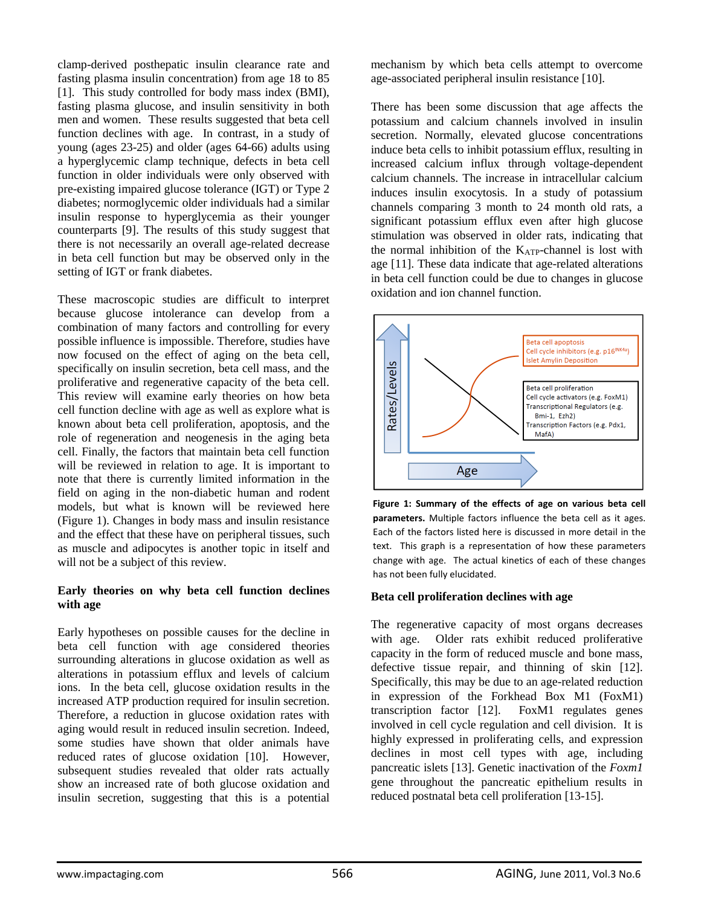clamp-derived posthepatic insulin clearance rate and fasting plasma insulin concentration) from age 18 to 85 [1]. This study controlled for body mass index (BMI), fasting plasma glucose, and insulin sensitivity in both men and women. These results suggested that beta cell function declines with age. In contrast, in a study of young (ages 23-25) and older (ages 64-66) adults using a hyperglycemic clamp technique, defects in beta cell function in older individuals were only observed with pre-existing impaired glucose tolerance (IGT) or Type 2 diabetes; normoglycemic older individuals had a similar insulin response to hyperglycemia as their younger counterparts [9]. The results of this study suggest that there is not necessarily an overall age-related decrease in beta cell function but may be observed only in the setting of IGT or frank diabetes.

These macroscopic studies are difficult to interpret because glucose intolerance can develop from a combination of many factors and controlling for every possible influence is impossible. Therefore, studies have now focused on the effect of aging on the beta cell, specifically on insulin secretion, beta cell mass, and the proliferative and regenerative capacity of the beta cell. This review will examine early theories on how beta cell function decline with age as well as explore what is known about beta cell proliferation, apoptosis, and the role of regeneration and neogenesis in the aging beta cell. Finally, the factors that maintain beta cell function will be reviewed in relation to age. It is important to note that there is currently limited information in the field on aging in the non-diabetic human and rodent models, but what is known will be reviewed here (Figure 1). Changes in body mass and insulin resistance and the effect that these have on peripheral tissues, such as muscle and adipocytes is another topic in itself and will not be a subject of this review.

## **Early theories on why beta cell function declines with age**

Early hypotheses on possible causes for the decline in beta cell function with age considered theories surrounding alterations in glucose oxidation as well as alterations in potassium efflux and levels of calcium ions. In the beta cell, glucose oxidation results in the increased ATP production required for insulin secretion. Therefore, a reduction in glucose oxidation rates with aging would result in reduced insulin secretion. Indeed, some studies have shown that older animals have reduced rates of glucose oxidation [10]. However, subsequent studies revealed that older rats actually show an increased rate of both glucose oxidation and insulin secretion, suggesting that this is a potential

mechanism by which beta cells attempt to overcome age-associated peripheral insulin resistance [10].

There has been some discussion that age affects the potassium and calcium channels involved in insulin secretion. Normally, elevated glucose concentrations induce beta cells to inhibit potassium efflux, resulting in increased calcium influx through voltage-dependent calcium channels. The increase in intracellular calcium induces insulin exocytosis. In a study of potassium channels comparing 3 month to 24 month old rats, a significant potassium efflux even after high glucose stimulation was observed in older rats, indicating that the normal inhibition of the  $K_{ATP}$ -channel is lost with age [11]. These data indicate that age-related alterations in beta cell function could be due to changes in glucose oxidation and ion channel function.



**Figure 1: Summary of the effects of age on various beta cell parameters.** Multiple factors influence the beta cell as it ages. Each of the factors listed here is discussed in more detail in the text. This graph is a representation of how these parameters change with age. The actual kinetics of each of these changes has not been fully elucidated.

## **Beta cell proliferation declines with age**

The regenerative capacity of most organs decreases with age. Older rats exhibit reduced proliferative capacity in the form of reduced muscle and bone mass, defective tissue repair, and thinning of skin [12]. Specifically, this may be due to an age-related reduction in expression of the Forkhead Box M1 (FoxM1) transcription factor [12]. FoxM1 regulates genes involved in cell cycle regulation and cell division. It is highly expressed in proliferating cells, and expression declines in most cell types with age, including pancreatic islets [13]. Genetic inactivation of the *Foxm1* gene throughout the pancreatic epithelium results in reduced postnatal beta cell proliferation [13-15].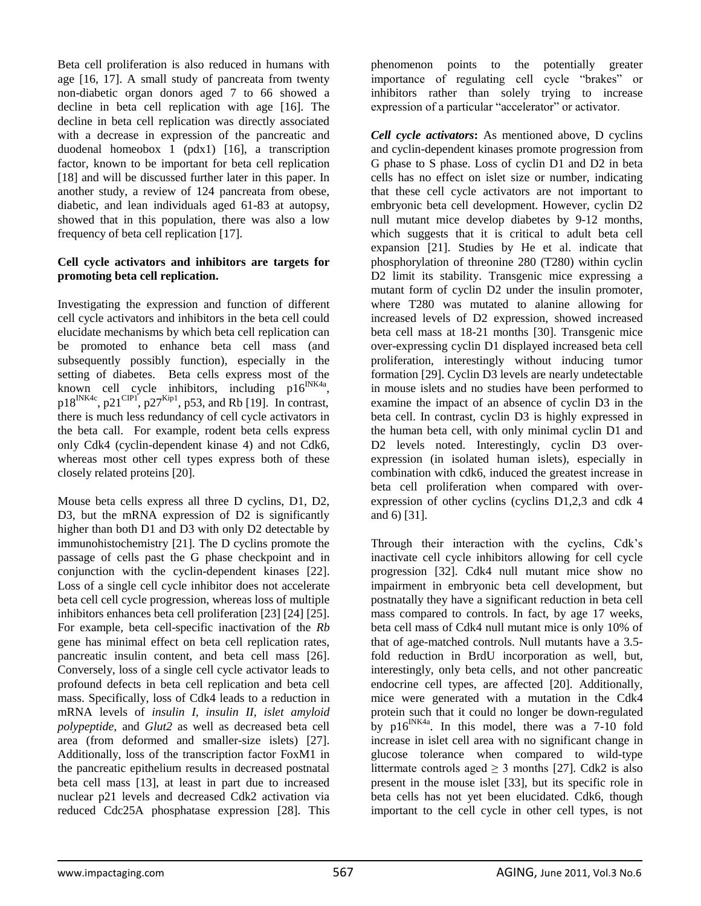Beta cell proliferation is also reduced in humans with age [16, 17]. A small study of pancreata from twenty non-diabetic organ donors aged 7 to 66 showed a decline in beta cell replication with age [16]. The decline in beta cell replication was directly associated with a decrease in expression of the pancreatic and duodenal homeobox 1 (pdx1) [16], a transcription factor, known to be important for beta cell replication [18] and will be discussed further later in this paper. In another study, a review of 124 pancreata from obese, diabetic, and lean individuals aged 61-83 at autopsy, showed that in this population, there was also a low frequency of beta cell replication [17].

## **Cell cycle activators and inhibitors are targets for promoting beta cell replication.**

Investigating the expression and function of different cell cycle activators and inhibitors in the beta cell could elucidate mechanisms by which beta cell replication can be promoted to enhance beta cell mass (and subsequently possibly function), especially in the setting of diabetes. Beta cells express most of the known cell cycle inhibitors, including  $p16^{INK4a}$ ,  $p18^{INK4c}$ ,  $p21^{CIP1}$ ,  $p27^{Kip1}$ , p53, and Rb [19]. In contrast, there is much less redundancy of cell cycle activators in the beta call. For example, rodent beta cells express only Cdk4 (cyclin-dependent kinase 4) and not Cdk6, whereas most other cell types express both of these closely related proteins [20].

Mouse beta cells express all three D cyclins, D1, D2, D3, but the mRNA expression of D2 is significantly higher than both D1 and D3 with only D2 detectable by immunohistochemistry [21]. The D cyclins promote the passage of cells past the G phase checkpoint and in conjunction with the cyclin-dependent kinases [22]. Loss of a single cell cycle inhibitor does not accelerate beta cell cell cycle progression, whereas loss of multiple inhibitors enhances beta cell proliferation [23] [24] [25]. For example, beta cell-specific inactivation of the *Rb* gene has minimal effect on beta cell replication rates, pancreatic insulin content, and beta cell mass [26]. Conversely, loss of a single cell cycle activator leads to profound defects in beta cell replication and beta cell mass. Specifically, loss of Cdk4 leads to a reduction in mRNA levels of *insulin I, insulin II, islet amyloid polypeptide,* and *Glut2* as well as decreased beta cell area (from deformed and smaller-size islets) [27]. Additionally, loss of the transcription factor FoxM1 in the pancreatic epithelium results in decreased postnatal beta cell mass [13], at least in part due to increased nuclear p21 levels and decreased Cdk2 activation via reduced Cdc25A phosphatase expression [28]. This

phenomenon points to the potentially greater importance of regulating cell cycle "brakes" or inhibitors rather than solely trying to increase expression of a particular "accelerator" or activator.

*Cell cycle activators***:** As mentioned above, D cyclins and cyclin-dependent kinases promote progression from G phase to S phase. Loss of cyclin D1 and D2 in beta cells has no effect on islet size or number, indicating that these cell cycle activators are not important to embryonic beta cell development. However, cyclin D2 null mutant mice develop diabetes by 9-12 months, which suggests that it is critical to adult beta cell expansion [21]. Studies by He et al. indicate that phosphorylation of threonine 280 (T280) within cyclin D2 limit its stability. Transgenic mice expressing a mutant form of cyclin D2 under the insulin promoter, where T280 was mutated to alanine allowing for increased levels of D2 expression, showed increased beta cell mass at 18-21 months [30]. Transgenic mice over-expressing cyclin D1 displayed increased beta cell proliferation, interestingly without inducing tumor formation [29]. Cyclin D3 levels are nearly undetectable in mouse islets and no studies have been performed to examine the impact of an absence of cyclin D3 in the beta cell. In contrast, cyclin D3 is highly expressed in the human beta cell, with only minimal cyclin D1 and D2 levels noted. Interestingly, cyclin D3 overexpression (in isolated human islets), especially in combination with cdk6, induced the greatest increase in beta cell proliferation when compared with overexpression of other cyclins (cyclins D1,2,3 and cdk 4 and 6) [31].

Through their interaction with the cyclins, Cdk's inactivate cell cycle inhibitors allowing for cell cycle progression [32]. Cdk4 null mutant mice show no impairment in embryonic beta cell development, but postnatally they have a significant reduction in beta cell mass compared to controls. In fact, by age 17 weeks, beta cell mass of Cdk4 null mutant mice is only 10% of that of age-matched controls. Null mutants have a 3.5 fold reduction in BrdU incorporation as well, but, interestingly, only beta cells, and not other pancreatic endocrine cell types, are affected [20]. Additionally, mice were generated with a mutation in the Cdk4 protein such that it could no longer be down-regulated by  $p16^{INK4a}$ . In this model, there was a 7-10 fold increase in islet cell area with no significant change in glucose tolerance when compared to wild-type littermate controls aged  $\geq$  3 months [27]. Cdk2 is also present in the mouse islet [33], but its specific role in beta cells has not yet been elucidated. Cdk6, though important to the cell cycle in other cell types, is not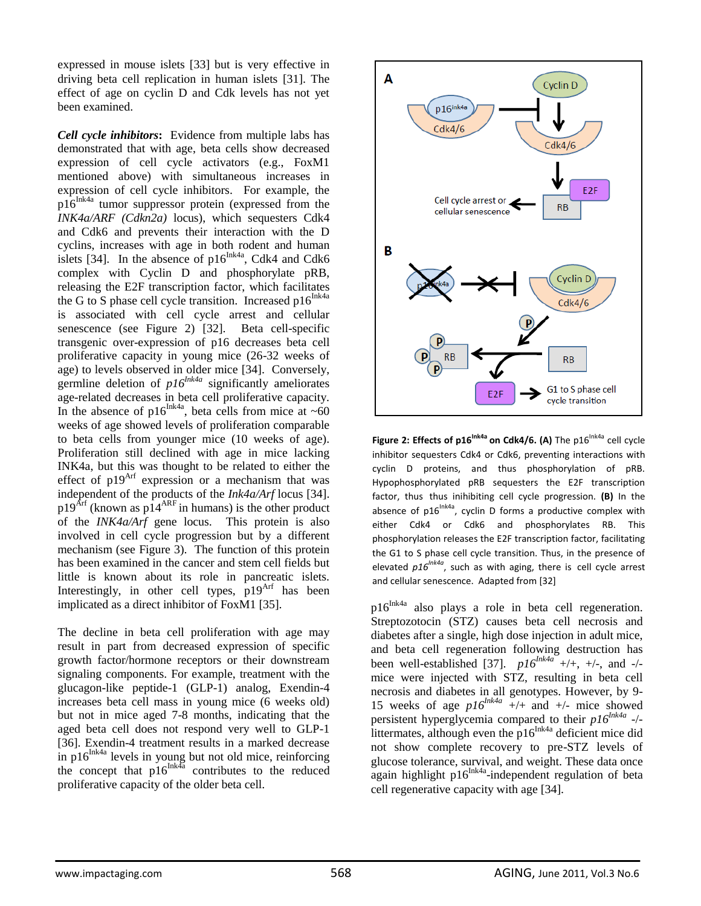expressed in mouse islets [33] but is very effective in driving beta cell replication in human islets [31]. The effect of age on cyclin D and Cdk levels has not yet been examined.

*Cell cycle inhibitors***:** Evidence from multiple labs has demonstrated that with age, beta cells show decreased expression of cell cycle activators (e.g., FoxM1 mentioned above) with simultaneous increases in expression of cell cycle inhibitors. For example, the  $p16$ <sup>Ink4a</sup> tumor suppressor protein (expressed from the *INK4a/ARF (Cdkn2a)* locus), which sequesters Cdk4 and Cdk6 and prevents their interaction with the D cyclins, increases with age in both rodent and human islets [34]. In the absence of  $p16^{Ink4a}$ , Cdk4 and Cdk6 complex with Cyclin D and phosphorylate pRB, releasing the E2F transcription factor, which facilitates the G to S phase cell cycle transition. Increased  $p16^{Ink4a}$ is associated with cell cycle arrest and cellular senescence (see Figure 2) [32]. Beta cell-specific transgenic over-expression of p16 decreases beta cell proliferative capacity in young mice (26-32 weeks of age) to levels observed in older mice [34]. Conversely, germline deletion of  $p16^{Ink4a}$  significantly ameliorates age-related decreases in beta cell proliferative capacity. In the absence of p16 $\frac{Ink4a}{B}$ , beta cells from mice at ~60 weeks of age showed levels of proliferation comparable to beta cells from younger mice (10 weeks of age). Proliferation still declined with age in mice lacking INK4a, but this was thought to be related to either the effect of  $p19<sup>Arf</sup>$  expression or a mechanism that was independent of the products of the *Ink4a/Arf* locus [34].  $p19<sup>Arf</sup>$  (known as  $p14<sup>ARE</sup>$  in humans) is the other product of the *INK4a/Arf* gene locus. This protein is also involved in cell cycle progression but by a different mechanism (see Figure 3). The function of this protein has been examined in the cancer and stem cell fields but little is known about its role in pancreatic islets. Interestingly, in other cell types,  $p19<sup>Arf</sup>$  has been implicated as a direct inhibitor of FoxM1 [35].

The decline in beta cell proliferation with age may result in part from decreased expression of specific growth factor/hormone receptors or their downstream signaling components. For example, treatment with the glucagon-like peptide-1 (GLP-1) analog, Exendin-4 increases beta cell mass in young mice (6 weeks old) but not in mice aged 7-8 months, indicating that the aged beta cell does not respond very well to GLP-1 [36]. Exendin-4 treatment results in a marked decrease in p16 $\text{Ink4a}$  levels in young but not old mice, reinforcing the concept that  $p16^{\text{Ink4a}}$  contributes to the reduced proliferative capacity of the older beta cell.



Figure 2: Effects of p16<sup>Ink4a</sup> on Cdk4/6. (A) The p16<sup>Ink4a</sup> cell cycle inhibitor sequesters Cdk4 or Cdk6, preventing interactions with cyclin D proteins, and thus phosphorylation of pRB. Hypophosphorylated pRB sequesters the E2F transcription factor, thus thus inihibiting cell cycle progression. **(B)** In the absence of p16<sup>Ink4a</sup>, cyclin D forms a productive complex with either Cdk4 or Cdk6 and phosphorylates RB. This phosphorylation releases the E2F transcription factor, facilitating the G1 to S phase cell cycle transition. Thus, in the presence of elevated  $p16^{lnk4a}$ , such as with aging, there is cell cycle arrest and cellular senescence. Adapted from [32]

 $p16^{Ink4a}$  also plays a role in beta cell regeneration. Streptozotocin (STZ) causes beta cell necrosis and diabetes after a single, high dose injection in adult mice, and beta cell regeneration following destruction has been well-established [37].  $p16^{lnka}$  +/+, +/-, and -/mice were injected with STZ, resulting in beta cell necrosis and diabetes in all genotypes. However, by 9- 15 weeks of age  $p16^{Ink4a}$  +/+ and +/- mice showed persistent hyperglycemia compared to their *p16Ink4a* -/ littermates, although even the  $p16^{Ink4a}$  deficient mice did not show complete recovery to pre-STZ levels of glucose tolerance, survival, and weight. These data once again highlight p $16^{Ink4a}$ -independent regulation of beta cell regenerative capacity with age [34].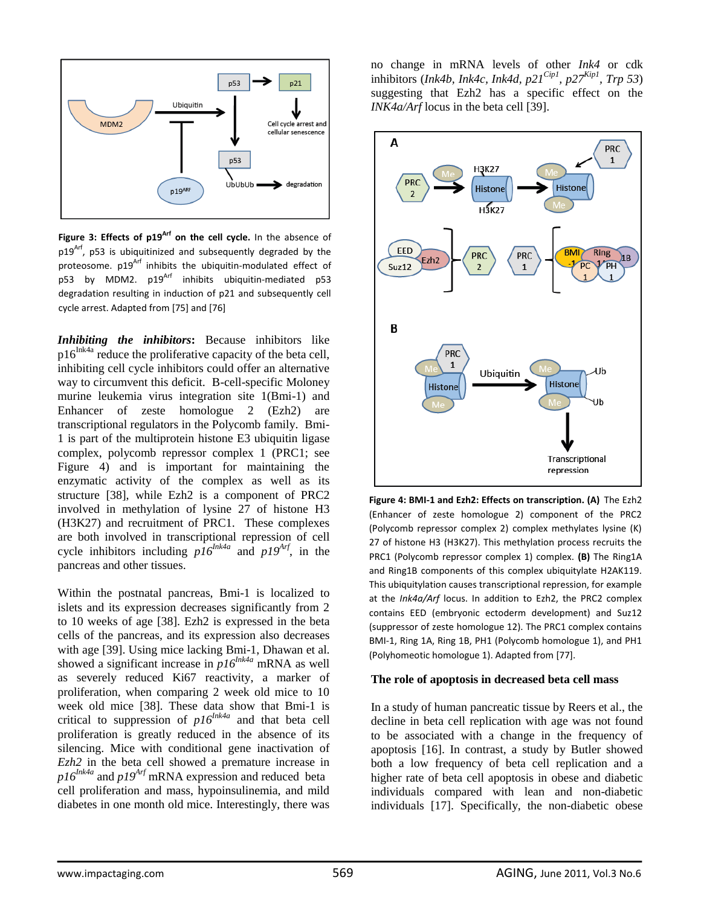

**Figure 3: Effects of p19Arf on the cell cycle.** In the absence of  $p19<sup>Arf</sup>$ , p53 is ubiquitinized and subsequently degraded by the proteosome. p19<sup>Arf</sup> inhibits the ubiquitin-modulated effect of p53 by MDM2.  $p19^{Arf}$  inhibits ubiquitin-mediated p53 degradation resulting in induction of p21 and subsequently cell cycle arrest. Adapted from [75] and [76]

*Inhibiting the inhibitors***:** Because inhibitors like  $p16^{Ink4a}$  reduce the proliferative capacity of the beta cell, inhibiting cell cycle inhibitors could offer an alternative way to circumvent this deficit. B-cell-specific Moloney murine leukemia virus integration site 1(Bmi-1) and Enhancer of zeste homologue 2 (Ezh2) are transcriptional regulators in the Polycomb family. Bmi-1 is part of the multiprotein histone E3 ubiquitin ligase complex, polycomb repressor complex 1 (PRC1; see Figure 4) and is important for maintaining the enzymatic activity of the complex as well as its structure [38], while Ezh2 is a component of PRC2 involved in methylation of lysine 27 of histone H3 (H3K27) and recruitment of PRC1. These complexes are both involved in transcriptional repression of cell cycle inhibitors including *p16Ink4a* and *p19Arf*, in the pancreas and other tissues.

Within the postnatal pancreas, Bmi-1 is localized to islets and its expression decreases significantly from 2 to 10 weeks of age [38]. Ezh2 is expressed in the beta cells of the pancreas, and its expression also decreases with age [39]. Using mice lacking Bmi-1, Dhawan et al. showed a significant increase in *p16Ink4a* mRNA as well as severely reduced Ki67 reactivity, a marker of proliferation, when comparing 2 week old mice to 10 week old mice [38]. These data show that Bmi-1 is critical to suppression of  $p16^{Ink4a}$  and that beta cell proliferation is greatly reduced in the absence of its silencing. Mice with conditional gene inactivation of *Ezh2* in the beta cell showed a premature increase in  $p16^{Ink4a}$  and  $p19^{Arf}$  mRNA expression and reduced beta cell proliferation and mass, hypoinsulinemia, and mild diabetes in one month old mice. Interestingly, there was no change in mRNA levels of other *Ink4* or cdk inhibitors (*Ink4b, Ink4c, Ink4d, p21Cip1, p27Kip1, Trp 53*) suggesting that Ezh2 has a specific effect on the *INK4a/Arf* locus in the beta cell [39].



**Figure 4: BMI-1 and Ezh2: Effects on transcription. (A)** The Ezh2 (Enhancer of zeste homologue 2) component of the PRC2 (Polycomb repressor complex 2) complex methylates lysine (K) 27 of histone H3 (H3K27). This methylation process recruits the PRC1 (Polycomb repressor complex 1) complex. **(B)** The Ring1A and Ring1B components of this complex ubiquitylate H2AK119. This ubiquitylation causes transcriptional repression, for example at the *Ink4a/Arf* locus. In addition to Ezh2, the PRC2 complex contains EED (embryonic ectoderm development) and Suz12 (suppressor of zeste homologue 12). The PRC1 complex contains BMI-1, Ring 1A, Ring 1B, PH1 (Polycomb homologue 1), and PH1 (Polyhomeotic homologue 1). Adapted from [77].

#### **The role of apoptosis in decreased beta cell mass**

In a study of human pancreatic tissue by Reers et al., the decline in beta cell replication with age was not found to be associated with a change in the frequency of apoptosis [16]. In contrast, a study by Butler showed both a low frequency of beta cell replication and a higher rate of beta cell apoptosis in obese and diabetic individuals compared with lean and non-diabetic individuals [17]. Specifically, the non-diabetic obese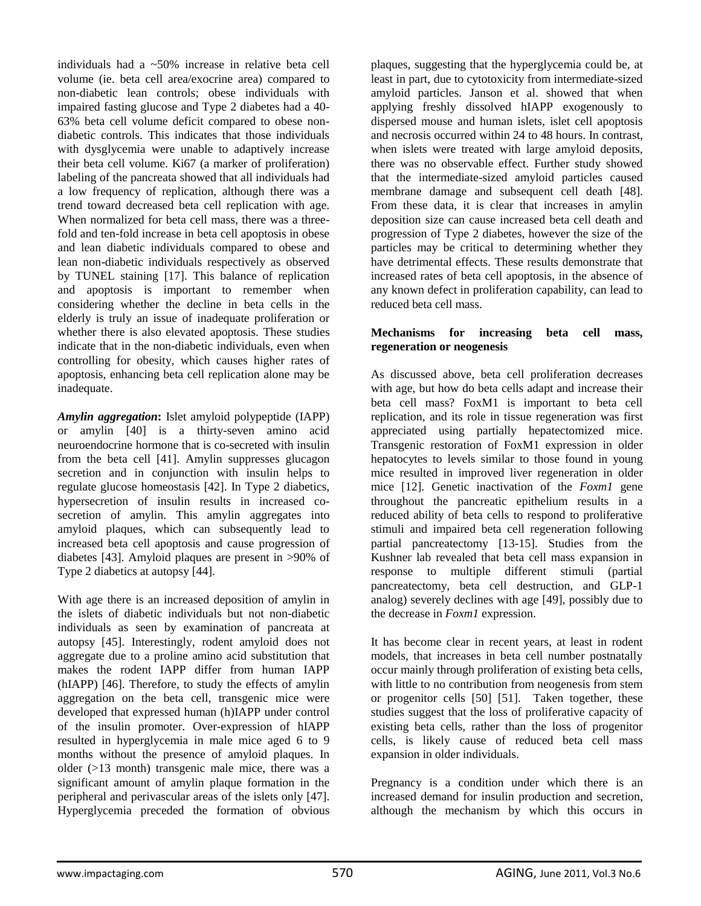individuals had a ~50% increase in relative beta cell volume (ie. beta cell area/exocrine area) compared to non-diabetic lean controls; obese individuals with impaired fasting glucose and Type 2 diabetes had a 40- 63% beta cell volume deficit compared to obese nondiabetic controls. This indicates that those individuals with dysglycemia were unable to adaptively increase their beta cell volume. Ki67 (a marker of proliferation) labeling of the pancreata showed that all individuals had a low frequency of replication, although there was a trend toward decreased beta cell replication with age. When normalized for beta cell mass, there was a threefold and ten-fold increase in beta cell apoptosis in obese and lean diabetic individuals compared to obese and lean non-diabetic individuals respectively as observed by TUNEL staining [17]. This balance of replication and apoptosis is important to remember when considering whether the decline in beta cells in the elderly is truly an issue of inadequate proliferation or whether there is also elevated apoptosis. These studies indicate that in the non-diabetic individuals, even when controlling for obesity, which causes higher rates of apoptosis, enhancing beta cell replication alone may be inadequate.

*Amylin aggregation***:** Islet amyloid polypeptide (IAPP) or amylin [40] is a thirty-seven amino acid neuroendocrine hormone that is co-secreted with insulin from the beta cell [41]. Amylin suppresses glucagon secretion and in conjunction with insulin helps to regulate glucose homeostasis [42]. In Type 2 diabetics, hypersecretion of insulin results in increased cosecretion of amylin. This amylin aggregates into amyloid plaques, which can subsequently lead to increased beta cell apoptosis and cause progression of diabetes [43]. Amyloid plaques are present in >90% of Type 2 diabetics at autopsy [44].

With age there is an increased deposition of amylin in the islets of diabetic individuals but not non-diabetic individuals as seen by examination of pancreata at autopsy [45]. Interestingly, rodent amyloid does not aggregate due to a proline amino acid substitution that makes the rodent IAPP differ from human IAPP (hIAPP) [46]. Therefore, to study the effects of amylin aggregation on the beta cell, transgenic mice were developed that expressed human (h)IAPP under control of the insulin promoter. Over-expression of hIAPP resulted in hyperglycemia in male mice aged 6 to 9 months without the presence of amyloid plaques. In older (>13 month) transgenic male mice, there was a significant amount of amylin plaque formation in the peripheral and perivascular areas of the islets only [47]. Hyperglycemia preceded the formation of obvious

plaques, suggesting that the hyperglycemia could be, at least in part, due to cytotoxicity from intermediate-sized amyloid particles. Janson et al. showed that when applying freshly dissolved hIAPP exogenously to dispersed mouse and human islets, islet cell apoptosis and necrosis occurred within 24 to 48 hours. In contrast, when islets were treated with large amyloid deposits, there was no observable effect. Further study showed that the intermediate-sized amyloid particles caused membrane damage and subsequent cell death [48]. From these data, it is clear that increases in amylin deposition size can cause increased beta cell death and progression of Type 2 diabetes, however the size of the particles may be critical to determining whether they have detrimental effects. These results demonstrate that increased rates of beta cell apoptosis, in the absence of any known defect in proliferation capability, can lead to reduced beta cell mass.

## **Mechanisms for increasing beta cell mass, regeneration or neogenesis**

As discussed above, beta cell proliferation decreases with age, but how do beta cells adapt and increase their beta cell mass? FoxM1 is important to beta cell replication, and its role in tissue regeneration was first appreciated using partially hepatectomized mice. Transgenic restoration of FoxM1 expression in older hepatocytes to levels similar to those found in young mice resulted in improved liver regeneration in older mice [12]. Genetic inactivation of the *Foxm1* gene throughout the pancreatic epithelium results in a reduced ability of beta cells to respond to proliferative stimuli and impaired beta cell regeneration following partial pancreatectomy [13-15]. Studies from the Kushner lab revealed that beta cell mass expansion in response to multiple different stimuli (partial pancreatectomy, beta cell destruction, and GLP-1 analog) severely declines with age [49], possibly due to the decrease in *Foxm1* expression.

It has become clear in recent years, at least in rodent models, that increases in beta cell number postnatally occur mainly through proliferation of existing beta cells, with little to no contribution from neogenesis from stem or progenitor cells [50] [51]. Taken together, these studies suggest that the loss of proliferative capacity of existing beta cells, rather than the loss of progenitor cells, is likely cause of reduced beta cell mass expansion in older individuals.

Pregnancy is a condition under which there is an increased demand for insulin production and secretion, although the mechanism by which this occurs in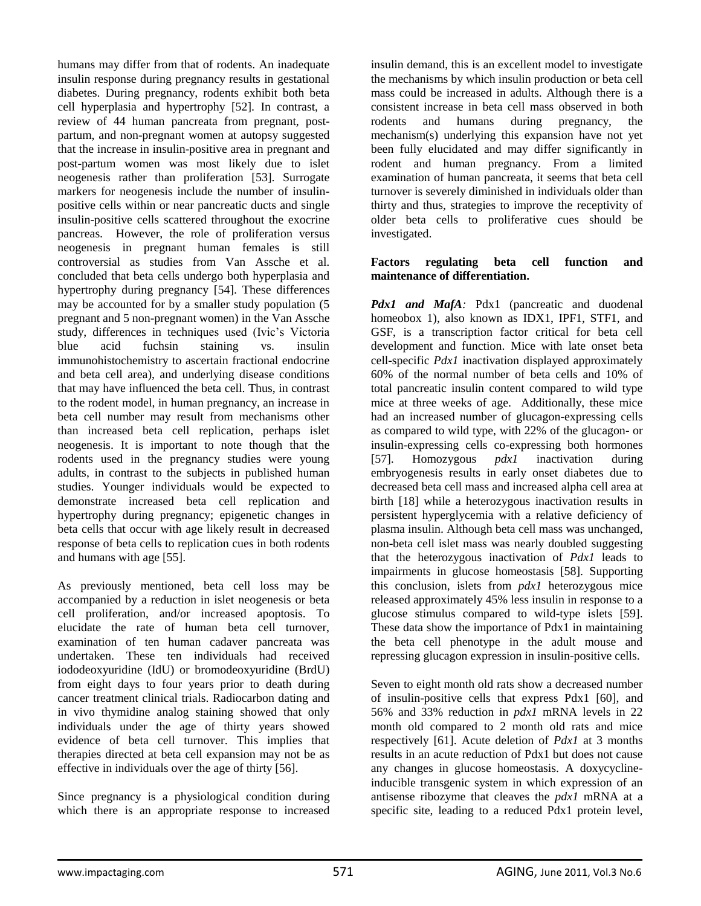humans may differ from that of rodents. An inadequate insulin response during pregnancy results in gestational diabetes. During pregnancy, rodents exhibit both beta cell hyperplasia and hypertrophy [52]. In contrast, a review of 44 human pancreata from pregnant, postpartum, and non-pregnant women at autopsy suggested that the increase in insulin-positive area in pregnant and post-partum women was most likely due to islet neogenesis rather than proliferation [53]. Surrogate markers for neogenesis include the number of insulinpositive cells within or near pancreatic ducts and single insulin-positive cells scattered throughout the exocrine pancreas. However, the role of proliferation versus neogenesis in pregnant human females is still controversial as studies from Van Assche et al. concluded that beta cells undergo both hyperplasia and hypertrophy during pregnancy [54]. These differences may be accounted for by a smaller study population (5 pregnant and 5 non-pregnant women) in the Van Assche study, differences in techniques used (Ivic's Victoria blue acid fuchsin staining vs. insulin immunohistochemistry to ascertain fractional endocrine and beta cell area), and underlying disease conditions that may have influenced the beta cell. Thus, in contrast to the rodent model, in human pregnancy, an increase in beta cell number may result from mechanisms other than increased beta cell replication, perhaps islet neogenesis. It is important to note though that the rodents used in the pregnancy studies were young adults, in contrast to the subjects in published human studies. Younger individuals would be expected to demonstrate increased beta cell replication and hypertrophy during pregnancy; epigenetic changes in beta cells that occur with age likely result in decreased response of beta cells to replication cues in both rodents and humans with age [55].

As previously mentioned, beta cell loss may be accompanied by a reduction in islet neogenesis or beta cell proliferation, and/or increased apoptosis. To elucidate the rate of human beta cell turnover, examination of ten human cadaver pancreata was undertaken. These ten individuals had received iododeoxyuridine (IdU) or bromodeoxyuridine (BrdU) from eight days to four years prior to death during cancer treatment clinical trials. Radiocarbon dating and in vivo thymidine analog staining showed that only individuals under the age of thirty years showed evidence of beta cell turnover. This implies that therapies directed at beta cell expansion may not be as effective in individuals over the age of thirty [56].

Since pregnancy is a physiological condition during which there is an appropriate response to increased insulin demand, this is an excellent model to investigate the mechanisms by which insulin production or beta cell mass could be increased in adults. Although there is a consistent increase in beta cell mass observed in both rodents and humans during pregnancy, the mechanism(s) underlying this expansion have not yet been fully elucidated and may differ significantly in rodent and human pregnancy. From a limited examination of human pancreata, it seems that beta cell turnover is severely diminished in individuals older than thirty and thus, strategies to improve the receptivity of older beta cells to proliferative cues should be investigated.

## **Factors regulating beta cell function and maintenance of differentiation.**

*Pdx1 and MafA*: Pdx1 (pancreatic and duodenal homeobox 1), also known as IDX1, IPF1, STF1, and GSF, is a transcription factor critical for beta cell development and function. Mice with late onset beta cell-specific *Pdx1* inactivation displayed approximately 60% of the normal number of beta cells and 10% of total pancreatic insulin content compared to wild type mice at three weeks of age. Additionally, these mice had an increased number of glucagon-expressing cells as compared to wild type, with 22% of the glucagon- or insulin-expressing cells co-expressing both hormones [57]. Homozygous *pdx1* inactivation during embryogenesis results in early onset diabetes due to decreased beta cell mass and increased alpha cell area at birth [18] while a heterozygous inactivation results in persistent hyperglycemia with a relative deficiency of plasma insulin. Although beta cell mass was unchanged, non-beta cell islet mass was nearly doubled suggesting that the heterozygous inactivation of *Pdx1* leads to impairments in glucose homeostasis [58]. Supporting this conclusion, islets from *pdx1* heterozygous mice released approximately 45% less insulin in response to a glucose stimulus compared to wild-type islets [59]. These data show the importance of Pdx1 in maintaining the beta cell phenotype in the adult mouse and repressing glucagon expression in insulin-positive cells.

Seven to eight month old rats show a decreased number of insulin-positive cells that express Pdx1 [60], and 56% and 33% reduction in *pdx1* mRNA levels in 22 month old compared to 2 month old rats and mice respectively [61]. Acute deletion of *Pdx1* at 3 months results in an acute reduction of Pdx1 but does not cause any changes in glucose homeostasis. A doxycyclineinducible transgenic system in which expression of an antisense ribozyme that cleaves the *pdx1* mRNA at a specific site, leading to a reduced Pdx1 protein level,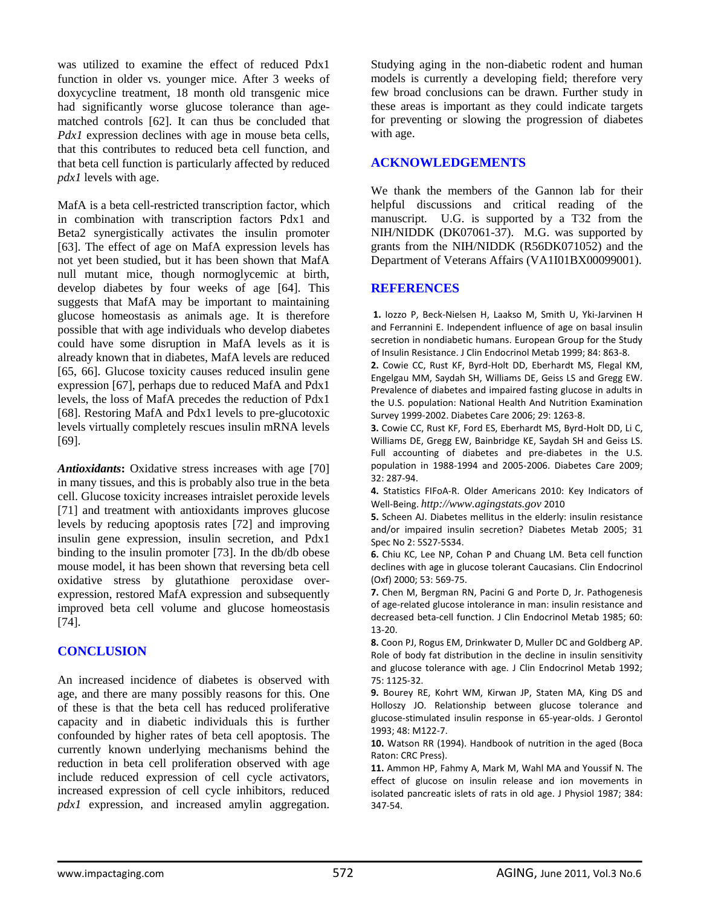was utilized to examine the effect of reduced Pdx1 function in older vs. younger mice. After 3 weeks of doxycycline treatment, 18 month old transgenic mice had significantly worse glucose tolerance than agematched controls [62]. It can thus be concluded that *Pdx1* expression declines with age in mouse beta cells, that this contributes to reduced beta cell function, and that beta cell function is particularly affected by reduced *pdx1* levels with age.

MafA is a beta cell-restricted transcription factor, which in combination with transcription factors Pdx1 and Beta2 synergistically activates the insulin promoter [63]. The effect of age on MafA expression levels has not yet been studied, but it has been shown that MafA null mutant mice, though normoglycemic at birth, develop diabetes by four weeks of age [64]. This suggests that MafA may be important to maintaining glucose homeostasis as animals age. It is therefore possible that with age individuals who develop diabetes could have some disruption in MafA levels as it is already known that in diabetes, MafA levels are reduced [65, 66]. Glucose toxicity causes reduced insulin gene expression [67], perhaps due to reduced MafA and Pdx1 levels, the loss of MafA precedes the reduction of Pdx1 [68]. Restoring MafA and Pdx1 levels to pre-glucotoxic levels virtually completely rescues insulin mRNA levels [69].

Antioxidants: Oxidative stress increases with age [70] in many tissues, and this is probably also true in the beta cell. Glucose toxicity increases intraislet peroxide levels [71] and treatment with antioxidants improves glucose levels by reducing apoptosis rates [72] and improving insulin gene expression, insulin secretion, and Pdx1 binding to the insulin promoter [73]. In the db/db obese mouse model, it has been shown that reversing beta cell oxidative stress by glutathione peroxidase overexpression, restored MafA expression and subsequently improved beta cell volume and glucose homeostasis [74].

## **CONCLUSION**

An increased incidence of diabetes is observed with age, and there are many possibly reasons for this. One of these is that the beta cell has reduced proliferative capacity and in diabetic individuals this is further confounded by higher rates of beta cell apoptosis. The currently known underlying mechanisms behind the reduction in beta cell proliferation observed with age include reduced expression of cell cycle activators, increased expression of cell cycle inhibitors, reduced *pdx1* expression, and increased amylin aggregation. Studying aging in the non-diabetic rodent and human models is currently a developing field; therefore very few broad conclusions can be drawn. Further study in these areas is important as they could indicate targets for preventing or slowing the progression of diabetes with age.

## **ACKNOWLEDGEMENTS**

We thank the members of the Gannon lab for their helpful discussions and critical reading of the manuscript. U.G. is supported by a T32 from the NIH/NIDDK (DK07061-37). M.G. was supported by grants from the NIH/NIDDK (R56DK071052) and the Department of Veterans Affairs (VA1I01BX00099001).

## **REFERENCES**

**1.** Iozzo P, Beck-Nielsen H, Laakso M, Smith U, Yki-Jarvinen H and Ferrannini E. Independent influence of age on basal insulin secretion in nondiabetic humans. European Group for the Study of Insulin Resistance. J Clin Endocrinol Metab 1999; 84: 863-8.

**2.** Cowie CC, Rust KF, Byrd-Holt DD, Eberhardt MS, Flegal KM, Engelgau MM, Saydah SH, Williams DE, Geiss LS and Gregg EW. Prevalence of diabetes and impaired fasting glucose in adults in the U.S. population: National Health And Nutrition Examination Survey 1999-2002. Diabetes Care 2006; 29: 1263-8.

**3.** Cowie CC, Rust KF, Ford ES, Eberhardt MS, Byrd-Holt DD, Li C, Williams DE, Gregg EW, Bainbridge KE, Saydah SH and Geiss LS. Full accounting of diabetes and pre-diabetes in the U.S. population in 1988-1994 and 2005-2006. Diabetes Care 2009; 32: 287-94.

**4.** Statistics FIFoA-R. Older Americans 2010: Key Indicators of Well-Being. *[http://www.agingstats.gov](http://www.agingstats.gov/)* 2010

**5.** Scheen AJ. Diabetes mellitus in the elderly: insulin resistance and/or impaired insulin secretion? Diabetes Metab 2005; 31 Spec No 2: 5S27-5S34.

**6.** Chiu KC, Lee NP, Cohan P and Chuang LM. Beta cell function declines with age in glucose tolerant Caucasians. Clin Endocrinol (Oxf) 2000; 53: 569-75.

**7.** Chen M, Bergman RN, Pacini G and Porte D, Jr. Pathogenesis of age-related glucose intolerance in man: insulin resistance and decreased beta-cell function. J Clin Endocrinol Metab 1985; 60: 13-20.

**8.** Coon PJ, Rogus EM, Drinkwater D, Muller DC and Goldberg AP. Role of body fat distribution in the decline in insulin sensitivity and glucose tolerance with age. J Clin Endocrinol Metab 1992; 75: 1125-32.

**9.** Bourey RE, Kohrt WM, Kirwan JP, Staten MA, King DS and Holloszy JO. Relationship between glucose tolerance and glucose-stimulated insulin response in 65-year-olds. J Gerontol 1993; 48: M122-7.

**10.** Watson RR (1994). Handbook of nutrition in the aged (Boca Raton: CRC Press).

**11.** Ammon HP, Fahmy A, Mark M, Wahl MA and Youssif N. The effect of glucose on insulin release and ion movements in isolated pancreatic islets of rats in old age. J Physiol 1987; 384: 347-54.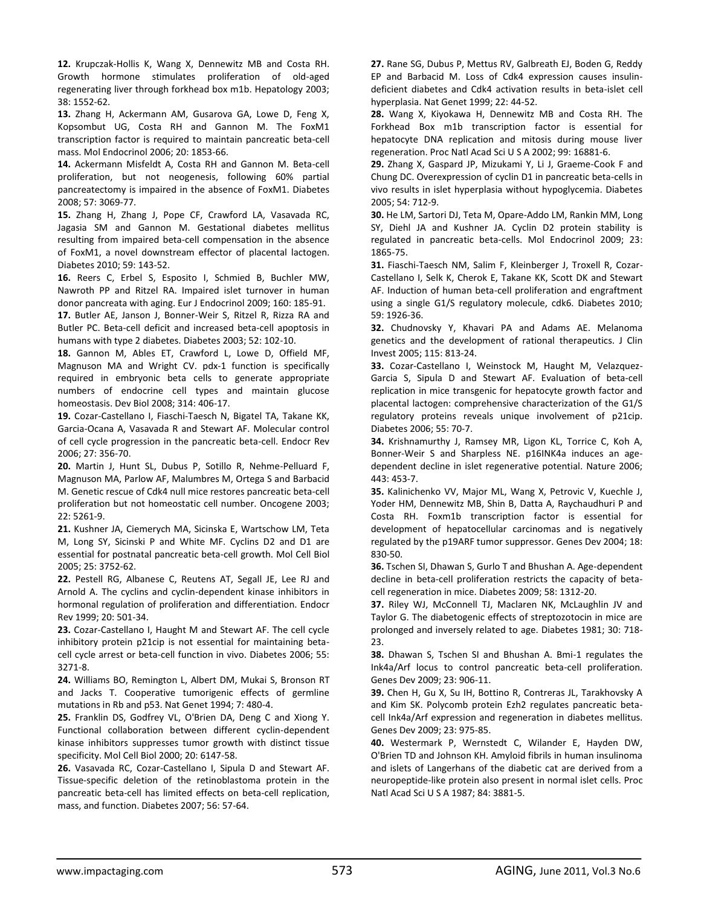**12.** Krupczak-Hollis K, Wang X, Dennewitz MB and Costa RH. Growth hormone stimulates proliferation of old-aged regenerating liver through forkhead box m1b. Hepatology 2003; 38: 1552-62.

**13.** Zhang H, Ackermann AM, Gusarova GA, Lowe D, Feng X, Kopsombut UG, Costa RH and Gannon M. The FoxM1 transcription factor is required to maintain pancreatic beta-cell mass. Mol Endocrinol 2006; 20: 1853-66.

**14.** Ackermann Misfeldt A, Costa RH and Gannon M. Beta-cell proliferation, but not neogenesis, following 60% partial pancreatectomy is impaired in the absence of FoxM1. Diabetes 2008; 57: 3069-77.

**15.** Zhang H, Zhang J, Pope CF, Crawford LA, Vasavada RC, Jagasia SM and Gannon M. Gestational diabetes mellitus resulting from impaired beta-cell compensation in the absence of FoxM1, a novel downstream effector of placental lactogen. Diabetes 2010; 59: 143-52.

**16.** Reers C, Erbel S, Esposito I, Schmied B, Buchler MW, Nawroth PP and Ritzel RA. Impaired islet turnover in human donor pancreata with aging. Eur J Endocrinol 2009; 160: 185-91.

**17.** Butler AE, Janson J, Bonner-Weir S, Ritzel R, Rizza RA and Butler PC. Beta-cell deficit and increased beta-cell apoptosis in humans with type 2 diabetes. Diabetes 2003; 52: 102-10.

**18.** Gannon M, Ables ET, Crawford L, Lowe D, Offield MF, Magnuson MA and Wright CV. pdx-1 function is specifically required in embryonic beta cells to generate appropriate numbers of endocrine cell types and maintain glucose homeostasis. Dev Biol 2008; 314: 406-17.

**19.** Cozar-Castellano I, Fiaschi-Taesch N, Bigatel TA, Takane KK, Garcia-Ocana A, Vasavada R and Stewart AF. Molecular control of cell cycle progression in the pancreatic beta-cell. Endocr Rev 2006; 27: 356-70.

**20.** Martin J, Hunt SL, Dubus P, Sotillo R, Nehme-Pelluard F, Magnuson MA, Parlow AF, Malumbres M, Ortega S and Barbacid M. Genetic rescue of Cdk4 null mice restores pancreatic beta-cell proliferation but not homeostatic cell number. Oncogene 2003; 22: 5261-9.

**21.** Kushner JA, Ciemerych MA, Sicinska E, Wartschow LM, Teta M, Long SY, Sicinski P and White MF. Cyclins D2 and D1 are essential for postnatal pancreatic beta-cell growth. Mol Cell Biol 2005; 25: 3752-62.

**22.** Pestell RG, Albanese C, Reutens AT, Segall JE, Lee RJ and Arnold A. The cyclins and cyclin-dependent kinase inhibitors in hormonal regulation of proliferation and differentiation. Endocr Rev 1999; 20: 501-34.

**23.** Cozar-Castellano I, Haught M and Stewart AF. The cell cycle inhibitory protein p21cip is not essential for maintaining betacell cycle arrest or beta-cell function in vivo. Diabetes 2006; 55: 3271-8.

**24.** Williams BO, Remington L, Albert DM, Mukai S, Bronson RT and Jacks T. Cooperative tumorigenic effects of germline mutations in Rb and p53. Nat Genet 1994; 7: 480-4.

**25.** Franklin DS, Godfrey VL, O'Brien DA, Deng C and Xiong Y. Functional collaboration between different cyclin-dependent kinase inhibitors suppresses tumor growth with distinct tissue specificity. Mol Cell Biol 2000; 20: 6147-58.

**26.** Vasavada RC, Cozar-Castellano I, Sipula D and Stewart AF. Tissue-specific deletion of the retinoblastoma protein in the pancreatic beta-cell has limited effects on beta-cell replication, mass, and function. Diabetes 2007; 56: 57-64.

**27.** Rane SG, Dubus P, Mettus RV, Galbreath EJ, Boden G, Reddy EP and Barbacid M. Loss of Cdk4 expression causes insulindeficient diabetes and Cdk4 activation results in beta-islet cell hyperplasia. Nat Genet 1999; 22: 44-52.

**28.** Wang X, Kiyokawa H, Dennewitz MB and Costa RH. The Forkhead Box m1b transcription factor is essential for hepatocyte DNA replication and mitosis during mouse liver regeneration. Proc Natl Acad Sci U S A 2002; 99: 16881-6.

**29.** Zhang X, Gaspard JP, Mizukami Y, Li J, Graeme-Cook F and Chung DC. Overexpression of cyclin D1 in pancreatic beta-cells in vivo results in islet hyperplasia without hypoglycemia. Diabetes 2005; 54: 712-9.

**30.** He LM, Sartori DJ, Teta M, Opare-Addo LM, Rankin MM, Long SY, Diehl JA and Kushner JA. Cyclin D2 protein stability is regulated in pancreatic beta-cells. Mol Endocrinol 2009; 23: 1865-75.

**31.** Fiaschi-Taesch NM, Salim F, Kleinberger J, Troxell R, Cozar-Castellano I, Selk K, Cherok E, Takane KK, Scott DK and Stewart AF. Induction of human beta-cell proliferation and engraftment using a single G1/S regulatory molecule, cdk6. Diabetes 2010; 59: 1926-36.

**32.** Chudnovsky Y, Khavari PA and Adams AE. Melanoma genetics and the development of rational therapeutics. J Clin Invest 2005; 115: 813-24.

**33.** Cozar-Castellano I, Weinstock M, Haught M, Velazquez-Garcia S, Sipula D and Stewart AF. Evaluation of beta-cell replication in mice transgenic for hepatocyte growth factor and placental lactogen: comprehensive characterization of the G1/S regulatory proteins reveals unique involvement of p21cip. Diabetes 2006; 55: 70-7.

**34.** Krishnamurthy J, Ramsey MR, Ligon KL, Torrice C, Koh A, Bonner-Weir S and Sharpless NE. p16INK4a induces an agedependent decline in islet regenerative potential. Nature 2006; 443: 453-7.

**35.** Kalinichenko VV, Major ML, Wang X, Petrovic V, Kuechle J, Yoder HM, Dennewitz MB, Shin B, Datta A, Raychaudhuri P and Costa RH. Foxm1b transcription factor is essential for development of hepatocellular carcinomas and is negatively regulated by the p19ARF tumor suppressor. Genes Dev 2004; 18: 830-50.

**36.** Tschen SI, Dhawan S, Gurlo T and Bhushan A. Age-dependent decline in beta-cell proliferation restricts the capacity of betacell regeneration in mice. Diabetes 2009; 58: 1312-20.

**37.** Riley WJ, McConnell TJ, Maclaren NK, McLaughlin JV and Taylor G. The diabetogenic effects of streptozotocin in mice are prolonged and inversely related to age. Diabetes 1981; 30: 718- 23.

**38.** Dhawan S, Tschen SI and Bhushan A. Bmi-1 regulates the Ink4a/Arf locus to control pancreatic beta-cell proliferation. Genes Dev 2009; 23: 906-11.

**39.** Chen H, Gu X, Su IH, Bottino R, Contreras JL, Tarakhovsky A and Kim SK. Polycomb protein Ezh2 regulates pancreatic betacell Ink4a/Arf expression and regeneration in diabetes mellitus. Genes Dev 2009; 23: 975-85.

**40.** Westermark P, Wernstedt C, Wilander E, Hayden DW, O'Brien TD and Johnson KH. Amyloid fibrils in human insulinoma and islets of Langerhans of the diabetic cat are derived from a neuropeptide-like protein also present in normal islet cells. Proc Natl Acad Sci U S A 1987; 84: 3881-5.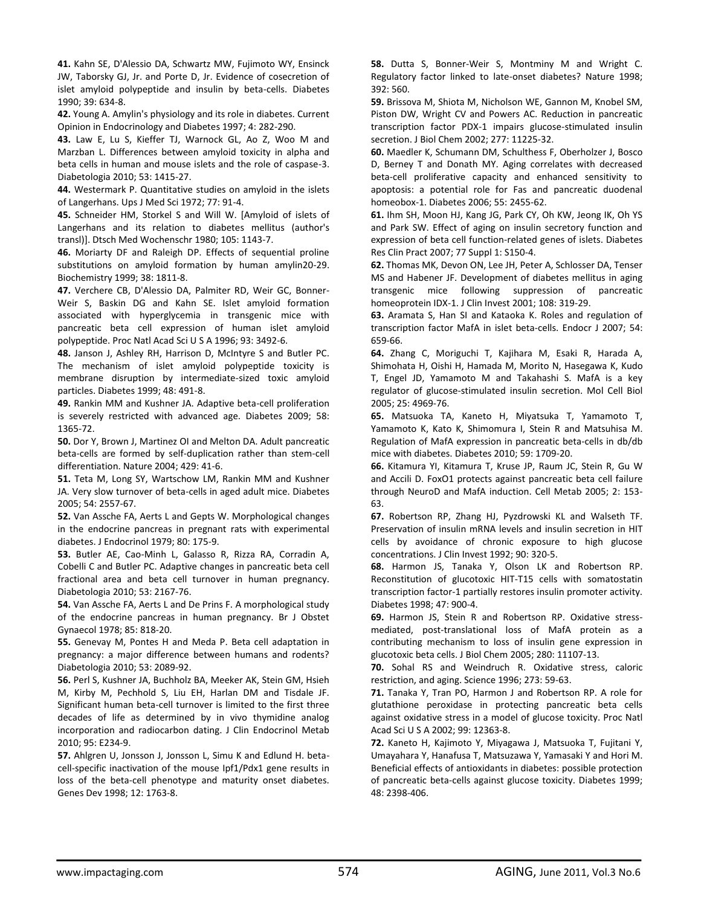**41.** Kahn SE, D'Alessio DA, Schwartz MW, Fujimoto WY, Ensinck JW, Taborsky GJ, Jr. and Porte D, Jr. Evidence of cosecretion of islet amyloid polypeptide and insulin by beta-cells. Diabetes 1990; 39: 634-8.

**42.** Young A. Amylin's physiology and its role in diabetes. Current Opinion in Endocrinology and Diabetes 1997; 4: 282-290.

**43.** Law E, Lu S, Kieffer TJ, Warnock GL, Ao Z, Woo M and Marzban L. Differences between amyloid toxicity in alpha and beta cells in human and mouse islets and the role of caspase-3. Diabetologia 2010; 53: 1415-27.

**44.** Westermark P. Quantitative studies on amyloid in the islets of Langerhans. Ups J Med Sci 1972; 77: 91-4.

**45.** Schneider HM, Storkel S and Will W. [Amyloid of islets of Langerhans and its relation to diabetes mellitus (author's transl)]. Dtsch Med Wochenschr 1980; 105: 1143-7.

**46.** Moriarty DF and Raleigh DP. Effects of sequential proline substitutions on amyloid formation by human amylin20-29. Biochemistry 1999; 38: 1811-8.

**47.** Verchere CB, D'Alessio DA, Palmiter RD, Weir GC, Bonner-Weir S, Baskin DG and Kahn SE. Islet amyloid formation associated with hyperglycemia in transgenic mice with pancreatic beta cell expression of human islet amyloid polypeptide. Proc Natl Acad Sci U S A 1996; 93: 3492-6.

**48.** Janson J, Ashley RH, Harrison D, McIntyre S and Butler PC. The mechanism of islet amyloid polypeptide toxicity is membrane disruption by intermediate-sized toxic amyloid particles. Diabetes 1999; 48: 491-8.

**49.** Rankin MM and Kushner JA. Adaptive beta-cell proliferation is severely restricted with advanced age. Diabetes 2009; 58: 1365-72.

**50.** Dor Y, Brown J, Martinez OI and Melton DA. Adult pancreatic beta-cells are formed by self-duplication rather than stem-cell differentiation. Nature 2004; 429: 41-6.

**51.** Teta M, Long SY, Wartschow LM, Rankin MM and Kushner JA. Very slow turnover of beta-cells in aged adult mice. Diabetes 2005; 54: 2557-67.

**52.** Van Assche FA, Aerts L and Gepts W. Morphological changes in the endocrine pancreas in pregnant rats with experimental diabetes. J Endocrinol 1979; 80: 175-9.

**53.** Butler AE, Cao-Minh L, Galasso R, Rizza RA, Corradin A, Cobelli C and Butler PC. Adaptive changes in pancreatic beta cell fractional area and beta cell turnover in human pregnancy. Diabetologia 2010; 53: 2167-76.

**54.** Van Assche FA, Aerts L and De Prins F. A morphological study of the endocrine pancreas in human pregnancy. Br J Obstet Gynaecol 1978; 85: 818-20.

**55.** Genevay M, Pontes H and Meda P. Beta cell adaptation in pregnancy: a major difference between humans and rodents? Diabetologia 2010; 53: 2089-92.

**56.** Perl S, Kushner JA, Buchholz BA, Meeker AK, Stein GM, Hsieh M, Kirby M, Pechhold S, Liu EH, Harlan DM and Tisdale JF. Significant human beta-cell turnover is limited to the first three decades of life as determined by in vivo thymidine analog incorporation and radiocarbon dating. J Clin Endocrinol Metab 2010; 95: E234-9.

**57.** Ahlgren U, Jonsson J, Jonsson L, Simu K and Edlund H. betacell-specific inactivation of the mouse Ipf1/Pdx1 gene results in loss of the beta-cell phenotype and maturity onset diabetes. Genes Dev 1998; 12: 1763-8.

**58.** Dutta S, Bonner-Weir S, Montminy M and Wright C. Regulatory factor linked to late-onset diabetes? Nature 1998; 392: 560.

**59.** Brissova M, Shiota M, Nicholson WE, Gannon M, Knobel SM, Piston DW, Wright CV and Powers AC. Reduction in pancreatic transcription factor PDX-1 impairs glucose-stimulated insulin secretion. J Biol Chem 2002; 277: 11225-32.

**60.** Maedler K, Schumann DM, Schulthess F, Oberholzer J, Bosco D, Berney T and Donath MY. Aging correlates with decreased beta-cell proliferative capacity and enhanced sensitivity to apoptosis: a potential role for Fas and pancreatic duodenal homeobox-1. Diabetes 2006; 55: 2455-62.

**61.** Ihm SH, Moon HJ, Kang JG, Park CY, Oh KW, Jeong IK, Oh YS and Park SW. Effect of aging on insulin secretory function and expression of beta cell function-related genes of islets. Diabetes Res Clin Pract 2007; 77 Suppl 1: S150-4.

**62.** Thomas MK, Devon ON, Lee JH, Peter A, Schlosser DA, Tenser MS and Habener JF. Development of diabetes mellitus in aging transgenic mice following suppression of pancreatic homeoprotein IDX-1. J Clin Invest 2001; 108: 319-29.

**63.** Aramata S, Han SI and Kataoka K. Roles and regulation of transcription factor MafA in islet beta-cells. Endocr J 2007; 54: 659-66.

**64.** Zhang C, Moriguchi T, Kajihara M, Esaki R, Harada A, Shimohata H, Oishi H, Hamada M, Morito N, Hasegawa K, Kudo T, Engel JD, Yamamoto M and Takahashi S. MafA is a key regulator of glucose-stimulated insulin secretion. Mol Cell Biol 2005; 25: 4969-76.

**65.** Matsuoka TA, Kaneto H, Miyatsuka T, Yamamoto T, Yamamoto K, Kato K, Shimomura I, Stein R and Matsuhisa M. Regulation of MafA expression in pancreatic beta-cells in db/db mice with diabetes. Diabetes 2010; 59: 1709-20.

**66.** Kitamura YI, Kitamura T, Kruse JP, Raum JC, Stein R, Gu W and Accili D. FoxO1 protects against pancreatic beta cell failure through NeuroD and MafA induction. Cell Metab 2005; 2: 153- 63.

**67.** Robertson RP, Zhang HJ, Pyzdrowski KL and Walseth TF. Preservation of insulin mRNA levels and insulin secretion in HIT cells by avoidance of chronic exposure to high glucose concentrations. J Clin Invest 1992; 90: 320-5.

**68.** Harmon JS, Tanaka Y, Olson LK and Robertson RP. Reconstitution of glucotoxic HIT-T15 cells with somatostatin transcription factor-1 partially restores insulin promoter activity. Diabetes 1998; 47: 900-4.

**69.** Harmon JS, Stein R and Robertson RP. Oxidative stressmediated, post-translational loss of MafA protein as a contributing mechanism to loss of insulin gene expression in glucotoxic beta cells. J Biol Chem 2005; 280: 11107-13.

**70.** Sohal RS and Weindruch R. Oxidative stress, caloric restriction, and aging. Science 1996; 273: 59-63.

**71.** Tanaka Y, Tran PO, Harmon J and Robertson RP. A role for glutathione peroxidase in protecting pancreatic beta cells against oxidative stress in a model of glucose toxicity. Proc Natl Acad Sci U S A 2002; 99: 12363-8.

**72.** Kaneto H, Kajimoto Y, Miyagawa J, Matsuoka T, Fujitani Y, Umayahara Y, Hanafusa T, Matsuzawa Y, Yamasaki Y and Hori M. Beneficial effects of antioxidants in diabetes: possible protection of pancreatic beta-cells against glucose toxicity. Diabetes 1999; 48: 2398-406.